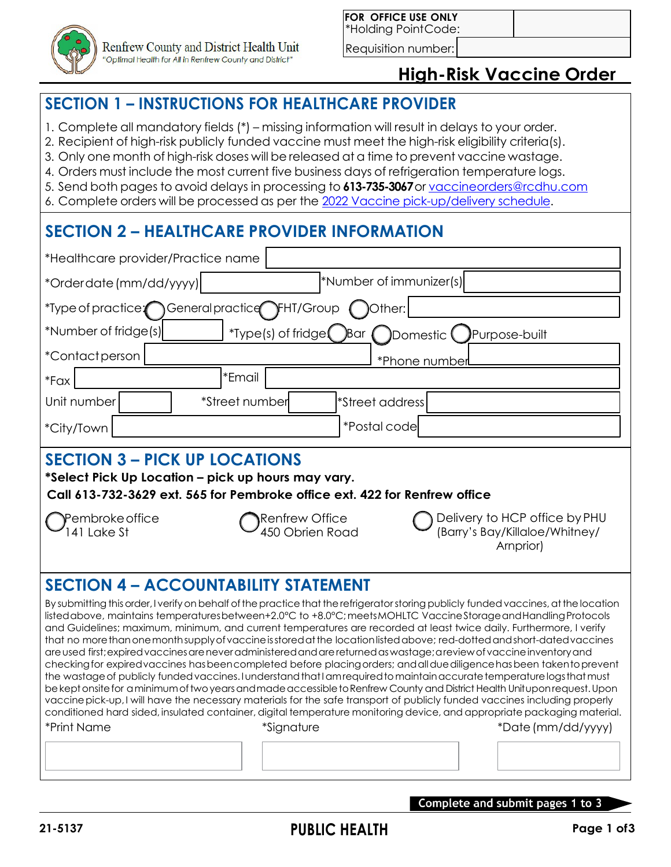

Requisition number:

### **High-Risk Vaccine Order**

### **SECTION 1 – INSTRUCTIONS FOR HEALTHCARE PROVIDER**

- 1. Complete all mandatory fields (\*) missing information will result in delays to your order.
- 2. Recipient of high-risk publicly funded vaccine must meet the high-risk eligibility criteria(s).
- 3. Only one month of high-risk doses will be released at a time to prevent vaccine wastage.
- 4. Orders must include the most current five business days of refrigeration temperature logs.
- 5. Send both pages to avoid delays in processing to **613-735-3067**or [vaccineorders@rcdhu.com](mailto:vaccineorders@rcdhu.com)
- 6. Complete orders will be processed as per the 2022 Vaccine [pick-up/delivery](https://www.rcdhu.com/wp-content/uploads/2022/02/HCP-Order-and-Deliver-schedule-2022.pdf) schedule.

# **SECTION 2 – HEALTHCARE PROVIDER INFORMATION**

| *Healthcare provider/Practice name                                                                                                                                       |                                                                                                                                                                                                                                                                                                                                                                                                                                                                                                                                                                                                                                                                                                                                                                                                                                                                                                                                                                                                                                                                                                                                                                                                                                                                                      |  |  |  |  |  |  |
|--------------------------------------------------------------------------------------------------------------------------------------------------------------------------|--------------------------------------------------------------------------------------------------------------------------------------------------------------------------------------------------------------------------------------------------------------------------------------------------------------------------------------------------------------------------------------------------------------------------------------------------------------------------------------------------------------------------------------------------------------------------------------------------------------------------------------------------------------------------------------------------------------------------------------------------------------------------------------------------------------------------------------------------------------------------------------------------------------------------------------------------------------------------------------------------------------------------------------------------------------------------------------------------------------------------------------------------------------------------------------------------------------------------------------------------------------------------------------|--|--|--|--|--|--|
| *Orderdate (mm/dd/yyyy)                                                                                                                                                  | *Number of immunizer(s)                                                                                                                                                                                                                                                                                                                                                                                                                                                                                                                                                                                                                                                                                                                                                                                                                                                                                                                                                                                                                                                                                                                                                                                                                                                              |  |  |  |  |  |  |
| *Type of practice: General practice FHT/Group                                                                                                                            | )Other:                                                                                                                                                                                                                                                                                                                                                                                                                                                                                                                                                                                                                                                                                                                                                                                                                                                                                                                                                                                                                                                                                                                                                                                                                                                                              |  |  |  |  |  |  |
| *Number of fridge(s)                                                                                                                                                     | *Type(s) of fridge( Bar ( )Domestic (<br>Purpose-built                                                                                                                                                                                                                                                                                                                                                                                                                                                                                                                                                                                                                                                                                                                                                                                                                                                                                                                                                                                                                                                                                                                                                                                                                               |  |  |  |  |  |  |
| *Contactperson                                                                                                                                                           | *Phone number                                                                                                                                                                                                                                                                                                                                                                                                                                                                                                                                                                                                                                                                                                                                                                                                                                                                                                                                                                                                                                                                                                                                                                                                                                                                        |  |  |  |  |  |  |
| *Email<br>$*Fax$                                                                                                                                                         |                                                                                                                                                                                                                                                                                                                                                                                                                                                                                                                                                                                                                                                                                                                                                                                                                                                                                                                                                                                                                                                                                                                                                                                                                                                                                      |  |  |  |  |  |  |
| *Street number<br>Unit number                                                                                                                                            | *Street address                                                                                                                                                                                                                                                                                                                                                                                                                                                                                                                                                                                                                                                                                                                                                                                                                                                                                                                                                                                                                                                                                                                                                                                                                                                                      |  |  |  |  |  |  |
| *City/Town                                                                                                                                                               | *Postal code                                                                                                                                                                                                                                                                                                                                                                                                                                                                                                                                                                                                                                                                                                                                                                                                                                                                                                                                                                                                                                                                                                                                                                                                                                                                         |  |  |  |  |  |  |
| <b>SECTION 3 – PICK UP LOCATIONS</b><br>*Select Pick Up Location – pick up hours may vary.<br>Call 613-732-3629 ext. 565 for Pembroke office ext. 422 for Renfrew office |                                                                                                                                                                                                                                                                                                                                                                                                                                                                                                                                                                                                                                                                                                                                                                                                                                                                                                                                                                                                                                                                                                                                                                                                                                                                                      |  |  |  |  |  |  |
| Pembroke office<br>141 Lake St                                                                                                                                           | Delivery to HCP office by PHU<br><b>Renfrew Office</b><br>450 Obrien Road<br>(Barry's Bay/Killaloe/Whitney/<br>Arnprior)                                                                                                                                                                                                                                                                                                                                                                                                                                                                                                                                                                                                                                                                                                                                                                                                                                                                                                                                                                                                                                                                                                                                                             |  |  |  |  |  |  |
| <b>SECTION 4 - ACCOUNTABILITY STATEMENT</b>                                                                                                                              |                                                                                                                                                                                                                                                                                                                                                                                                                                                                                                                                                                                                                                                                                                                                                                                                                                                                                                                                                                                                                                                                                                                                                                                                                                                                                      |  |  |  |  |  |  |
| *Print Name<br>*Signature                                                                                                                                                | By submitting this order, I verify on behalf of the practice that the refrigerator storing publicly funded vaccines, at the location<br>listed above, maintains temperatures between+2.0°C to +8.0°C; meets MOHLTC Vaccine Storage and Handling Protocols<br>and Guidelines; maximum, minimum, and current temperatures are recorded at least twice daily. Furthermore, I verify<br>that no more than one month supply of vaccine is stored at the location listed above; red-dotted and short-dated vaccines<br>are used first; expired vaccines are never administered and are returned as wastage; a review of vaccine inventory and<br>checking for expired vaccines has been completed before placing orders; and all due diligence has been taken to prevent<br>the wastage of publicly funded vaccines. I understand that I amrequired to maintain accurate temperature logs that must<br>be kept onsite for a minimum of two years and made accessible to Renfrew County and District Health Unitupon request. Upon<br>vaccine pick-up, I will have the necessary materials for the safe transport of publicly funded vaccines including properly<br>conditioned hard sided, insulated container, digital temperature monitoring device, and appropriate packaging material. |  |  |  |  |  |  |

Complete and submit pages 1 to 3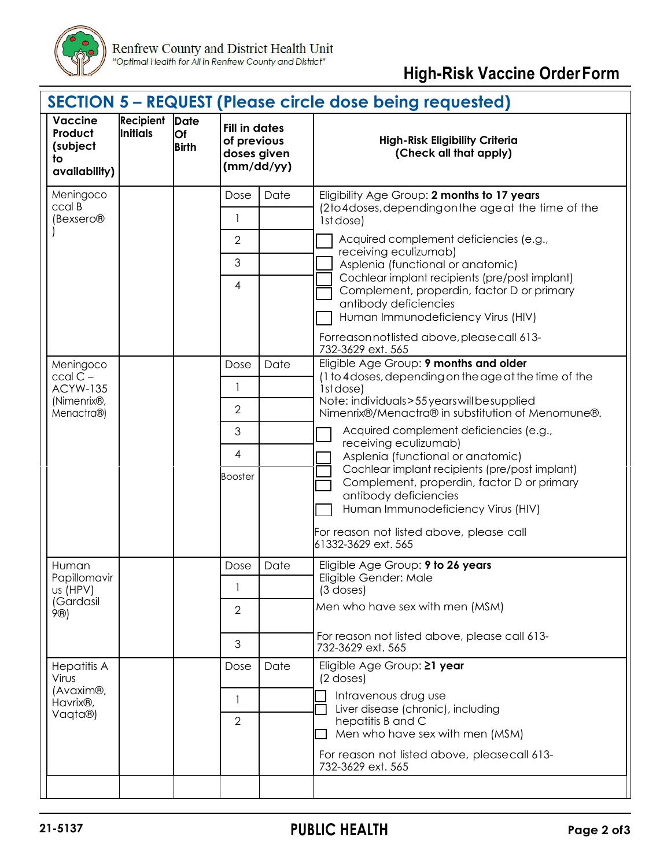

## **High-Risk Vaccine OrderForm**

|                                                              |                       |                                   |                                                                  |      | <b>SECTION 5 - REQUEST (Please circle dose being requested)</b>                                                                                                                                                                |  |  |
|--------------------------------------------------------------|-----------------------|-----------------------------------|------------------------------------------------------------------|------|--------------------------------------------------------------------------------------------------------------------------------------------------------------------------------------------------------------------------------|--|--|
| <b>Vaccine</b><br>Product<br>(subject<br>to<br>availability) | Recipient<br>Initials | <b>Date</b><br>Of<br><b>Birth</b> | <b>Fill in dates</b><br>of previous<br>doses given<br>(mm/dd/yy) |      | <b>High-Risk Eligibility Criteria</b><br>(Check all that apply)                                                                                                                                                                |  |  |
| Meningoco                                                    |                       |                                   | Dose                                                             | Date | Eligibility Age Group: 2 months to 17 years                                                                                                                                                                                    |  |  |
| ccal B<br>(Bexsero <sup>®</sup>                              |                       |                                   | 1                                                                |      | (2to4doses, depending on the age at the time of the<br>1st dose)                                                                                                                                                               |  |  |
|                                                              |                       |                                   | $\overline{2}$                                                   |      | Acquired complement deficiencies (e.g.,                                                                                                                                                                                        |  |  |
|                                                              |                       |                                   | 3                                                                |      | receiving eculizumab)<br>Asplenia (functional or anatomic)                                                                                                                                                                     |  |  |
|                                                              |                       |                                   | 4                                                                |      | Cochlear implant recipients (pre/post implant)<br>Complement, properdin, factor D or primary<br>antibody deficiencies<br>Human Immunodeficiency Virus (HIV)                                                                    |  |  |
|                                                              |                       |                                   |                                                                  |      | Forreason not listed above, please call 613-<br>732-3629 ext. 565                                                                                                                                                              |  |  |
| Meningoco                                                    |                       |                                   | Dose                                                             | Date | Eligible Age Group: 9 months and older                                                                                                                                                                                         |  |  |
| $ccalC -$<br><b>ACYW-135</b>                                 |                       |                                   | 1                                                                |      | (1 to 4 doses, depending on the age at the time of the<br>1st dose)                                                                                                                                                            |  |  |
| (Nimenrix®,<br>Menactra®)                                    |                       |                                   | $\overline{2}$                                                   |      | Note: individuals>55 years will be supplied<br>Nimenrix®/Menactra® in substitution of Menomune®.                                                                                                                               |  |  |
|                                                              |                       |                                   | 3                                                                |      | Acquired complement deficiencies (e.g.,<br>receiving eculizumab)                                                                                                                                                               |  |  |
|                                                              |                       |                                   | $\overline{4}$                                                   |      | Asplenia (functional or anatomic)                                                                                                                                                                                              |  |  |
|                                                              |                       |                                   | <b>Booster</b>                                                   |      | Cochlear implant recipients (pre/post implant)<br>Complement, properdin, factor D or primary<br>antibody deficiencies<br>Human Immunodeficiency Virus (HIV)<br>For reason not listed above, please call<br>61332-3629 ext. 565 |  |  |
| Human                                                        |                       |                                   | Dose                                                             | Date | Eligible Age Group: 9 to 26 years                                                                                                                                                                                              |  |  |
| Papillomavir<br>us (HPV)                                     |                       |                                   |                                                                  |      | Eligible Gender: Male<br>$(3$ doses)                                                                                                                                                                                           |  |  |
| (Gardasil<br>9®)                                             |                       |                                   | $\mathbf{2}$                                                     |      | Men who have sex with men (MSM)                                                                                                                                                                                                |  |  |
|                                                              |                       |                                   | 3                                                                |      | For reason not listed above, please call 613-<br>732-3629 ext. 565                                                                                                                                                             |  |  |
| <b>Hepatitis A</b><br>Virus                                  |                       |                                   | Dose                                                             | Date | Eligible Age Group: 21 year<br>(2 doses)                                                                                                                                                                                       |  |  |
| (Avaxim®,<br>Havrix <sup>®</sup> ,                           |                       |                                   | 1                                                                |      | Intravenous drug use<br>Liver disease (chronic), including                                                                                                                                                                     |  |  |
| Vaqta®)                                                      |                       |                                   | $\overline{2}$                                                   |      | hepatitis B and C<br>Men who have sex with men (MSM)                                                                                                                                                                           |  |  |
|                                                              |                       |                                   |                                                                  |      | For reason not listed above, pleasecall 613-<br>732-3629 ext. 565                                                                                                                                                              |  |  |
|                                                              |                       |                                   |                                                                  |      |                                                                                                                                                                                                                                |  |  |